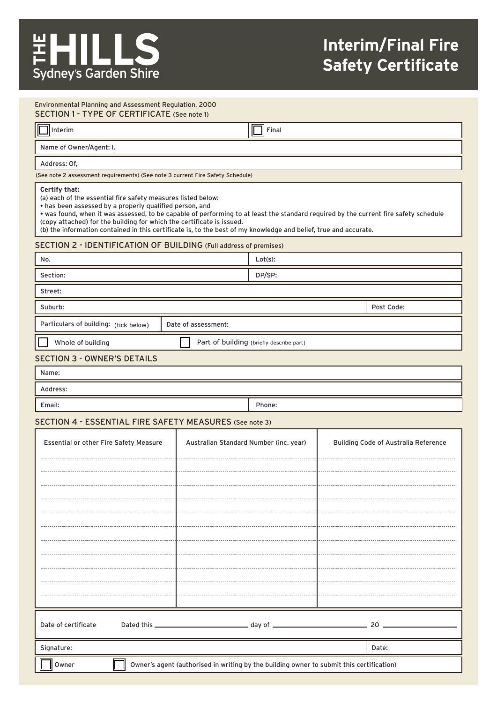# **Interim/Final Fire Safety Certificate**

#### SECTION 1 - TYPE OF CERTIFICATE (See note 1) Environmental Planning and Assessment Regulation, 2000

| IC                      | <sup>-</sup> inal |  |
|-------------------------|-------------------|--|
| Interim                 | ш                 |  |
| Name of Owner/Agent: I, |                   |  |

#### Address: Of,

(See note 2 assessment requirements) (See note 3 current Fire Safety Schedule)

#### **Certify that:**

(a) each of the essential fire safety measures listed below:

• has been assessed by a properly qualified person, and

• was found, when it was assessed, to be capable of performing to at least the standard required by the current fire safety schedule (copy attached) for the building for which the certificate is issued.

(b) the information contained in this certificate is, to the best of my knowledge and belief, true and accurate.

### SECTION 2 - IDENTIFICATION OF BUILDING (Full address of premises)

| No.                                                            |                                        | Lot(s): |            |                                             |  |
|----------------------------------------------------------------|----------------------------------------|---------|------------|---------------------------------------------|--|
| Section:                                                       |                                        | DP/SP:  |            |                                             |  |
| Street:                                                        |                                        |         |            |                                             |  |
| Suburb:                                                        |                                        |         | Post Code: |                                             |  |
| Particulars of building: (tick below)                          | Date of assessment:                    |         |            |                                             |  |
| Part of building (briefly describe part)<br>Whole of building  |                                        |         |            |                                             |  |
| <b>SECTION 3 - OWNER'S DETAILS</b>                             |                                        |         |            |                                             |  |
| Name:                                                          |                                        |         |            |                                             |  |
| Address:                                                       |                                        |         |            |                                             |  |
| Email:                                                         |                                        | Phone:  |            |                                             |  |
| <b>SECTION 4 - ESSENTIAL FIRE SAFETY MEASURES (See note 3)</b> |                                        |         |            |                                             |  |
| <b>Essential or other Fire Safety Measure</b>                  | Australian Standard Number (inc. year) |         |            | <b>Building Code of Australia Reference</b> |  |
|                                                                |                                        |         |            |                                             |  |

| Date of certificate                                                                               |       | 20 |  |  |  |
|---------------------------------------------------------------------------------------------------|-------|----|--|--|--|
|                                                                                                   |       |    |  |  |  |
| Signature:                                                                                        | Date: |    |  |  |  |
| Owner's agent (authorised in writing by the building owner to submit this certification)<br>Owner |       |    |  |  |  |